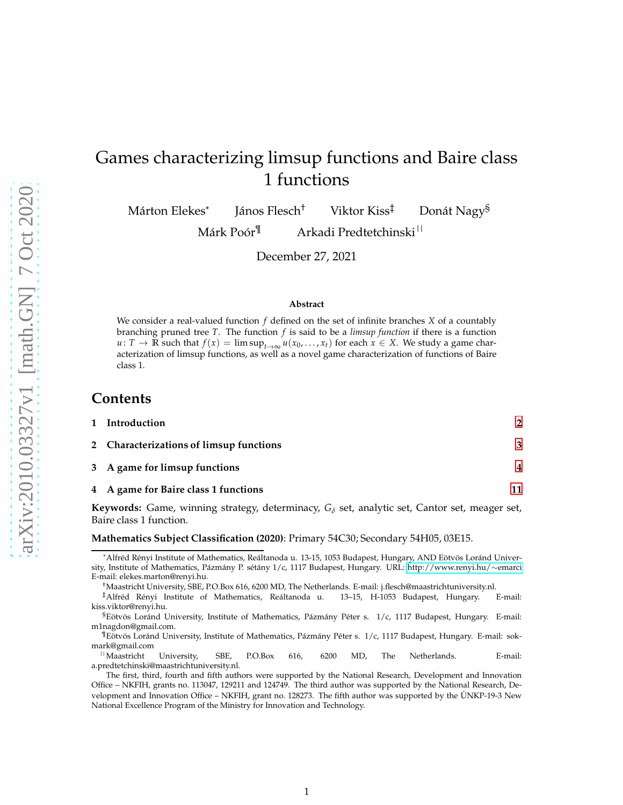# Games characterizing limsup functions and Baire class 1 functions

Márton Elekes\* János Flesch<sup>†</sup> Viktor Kiss<sup>‡</sup> Donát Nagy<sup>§</sup>

Márk Poór<sup>¶</sup> Arkadi Predtetchinski<sup>||</sup>

December 27, 2021

#### **Abstract**

We consider a real-valued function *f* defined on the set of infinite branches *X* of a countably branching pruned tree *T*. The function *f* is said to be a *limsup function* if there is a function *u* : *T* → **R** such that  $f(x) = \limsup_{t\to\infty} u(x_0, ..., x_t)$  for each  $x \in X$ . We study a game characterization of limsup functions, as well as a novel game characterization of functions of Baire class 1.

## **Contents**

| 1 Introduction                          |                         |
|-----------------------------------------|-------------------------|
| 2 Characterizations of limsup functions | 3                       |
| 3 A game for limsup functions           | $\overline{\mathbf{4}}$ |
| 4 A game for Baire class 1 functions    |                         |

**Keywords:** Game, winning strategy, determinacy, *G<sup>δ</sup>* set, analytic set, Cantor set, meager set, Baire class 1 function.

#### **Mathematics Subject Classification (2020)**: Primary 54C30; Secondary 54H05, 03E15.

<sup>\*</sup>Alfréd Rényi Institute of Mathematics, Reáltanoda u. 13-15, 1053 Budapest, Hungary, AND Eötvös Loránd University, Institute of Mathematics, Pázmány P. sétány 1/c, 1117 Budapest, Hungary. URL: [http://www.renyi.hu/](http://www.renyi.hu/~emarci)∼emarci E-mail: elekes.marton@renyi.hu.

<sup>†</sup>Maastricht University, SBE, P.O.Box 616, 6200 MD, The Netherlands. E-mail: j.flesch@maastrichtuniversity.nl.

<sup>‡</sup>Alfréd Rényi Institute of Mathematics, Reáltanoda u. 13–15, H-1053 Budapest, Hungary. E-mail: kiss.viktor@renyi.hu.

 $$E\ddot{\theta}$$ Eötvös Loránd University, Institute of Mathematics, Pázmány Péter s. 1/c, 1117 Budapest, Hungary. E-mail: m1nagdon@gmail.com.

<sup>&</sup>lt;sup>¶</sup>Eötvös Loránd University, Institute of Mathematics, Pázmány Péter s. 1/c, 1117 Budapest, Hungary. E-mail: sokmark@gmail.com<br><sup>||</sup>Maastricht

<sup>||</sup>Maastricht University, SBE, P.O.Box 616, 6200 MD, The Netherlands. E-mail: a.predtetchinski@maastrichtuniversity.nl.

The first, third, fourth and fifth authors were supported by the National Research, Development and Innovation Office – NKFIH, grants no. 113047, 129211 and 124749. The third author was supported by the National Research, Development and Innovation Office – NKFIH, grant no. 128273. The fifth author was supported by the ÚNKP-19-3 New National Excellence Program of the Ministry for Innovation and Technology.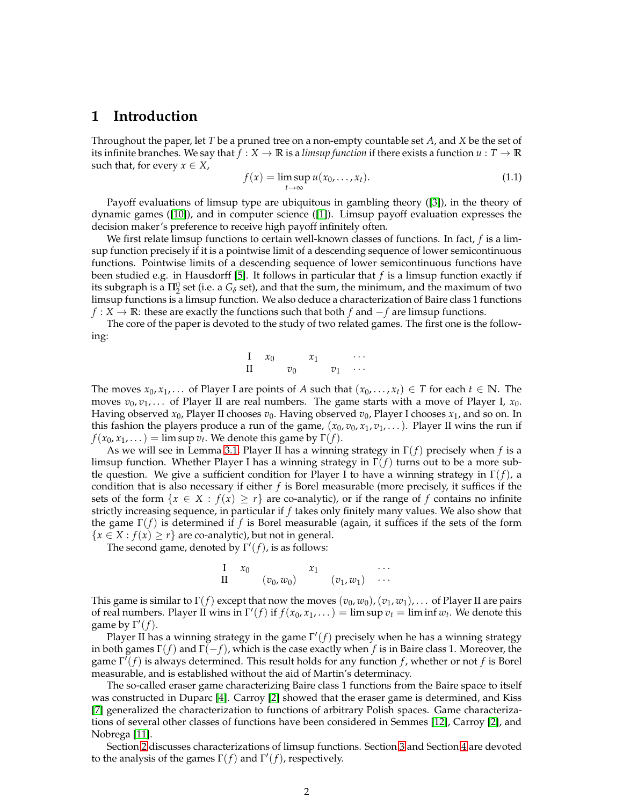## <span id="page-1-0"></span>**1 Introduction**

Throughout the paper, let *T* be a pruned tree on a non-empty countable set *A*, and *X* be the set of its infinite branches. We say that  $f: X \to \mathbb{R}$  is a *limsup function* if there exists a function  $u: T \to \mathbb{R}$ such that, for every  $x \in X$ ,

<span id="page-1-1"></span>
$$
f(x) = \limsup_{t \to \infty} u(x_0, \dots, x_t).
$$
 (1.1)

Payoff evaluations of limsup type are ubiquitous in gambling theory ([3]), in the theory of dynamic games ([10]), and in computer science ([1]). Limsup payoff evaluation expresses the decision maker's preference to receive high payoff infinitely often.

We first relate limsup functions to certain well-known classes of functions. In fact, *f* is a limsup function precisely if it is a pointwise limit of a descending sequence of lower semicontinuous functions. Pointwise limits of a descending sequence of lower semicontinuous functions have been studied e.g. in Hausdorff [5]. It follows in particular that *f* is a limsup function exactly if its subgraph is a  $\Pi_2^0$  set (i.e. a  $G_\delta$  set), and that the sum, the minimum, and the maximum of two limsup functions is a limsup function. We also deduce a characterization of Baire class 1 functions *f* : *X* → **R**: these are exactly the functions such that both *f* and −*f* are limsup functions.

The core of the paper is devoted to the study of two related games. The first one is the following:

$$
\begin{array}{ccccccccc}\nI & x_0 & & x_1 & & \cdots \\
II & & v_0 & & v_1 & \cdots\n\end{array}
$$

The moves  $x_0, x_1, \ldots$  of Player I are points of *A* such that  $(x_0, \ldots, x_t) \in T$  for each  $t \in \mathbb{N}$ . The moves  $v_0, v_1, \ldots$  of Player II are real numbers. The game starts with a move of Player I,  $x_0$ . Having observed *x*0, Player II chooses *v*0. Having observed *v*0, Player I chooses *x*1, and so on. In this fashion the players produce a run of the game,  $(x_0, v_0, x_1, v_1, \dots)$ . Player II wins the run if  $f(x_0, x_1, ...)$  = lim sup  $v_t$ . We denote this game by  $\Gamma(f)$ .

As we will see in Lemma [3.1,](#page-3-1) Player II has a winning strategy in Γ(*f*) precisely when *f* is a limsup function. Whether Player I has a winning strategy in Γ(*f*) turns out to be a more subtle question. We give a sufficient condition for Player I to have a winning strategy in Γ(*f*), a condition that is also necessary if either *f* is Borel measurable (more precisely, it suffices if the sets of the form  $\{x \in X : f(x) \geq r\}$  are co-analytic), or if the range of f contains no infinite strictly increasing sequence, in particular if *f* takes only finitely many values. We also show that the game Γ(*f*) is determined if *f* is Borel measurable (again, it suffices if the sets of the form  ${x \in X : f(x) \geq r}$  are co-analytic), but not in general.

The second game, denoted by  $\Gamma'(f)$ , is as follows:

$$
\begin{array}{cccc}\nI & x_0 & & x_1 & & \cdots \\
II & & (v_0, w_0) & & (v_1, w_1) & \cdots\n\end{array}
$$

This game is similar to  $\Gamma(f)$  except that now the moves  $(v_0, w_0)$ ,  $(v_1, w_1)$ , . . . of Player II are pairs of real numbers. Player II wins in  $\Gamma'(f)$  if  $f(x_0, x_1, \dots) = \limsup v_t = \liminf w_t$ . We denote this game by  $\Gamma'(f)$ .

Player II has a winning strategy in the game Γ ′ (*f*) precisely when he has a winning strategy in both games Γ(*f*) and Γ(−*f*), which is the case exactly when *f* is in Baire class 1. Moreover, the game Γ ′ (*f*) is always determined. This result holds for any function *f* , whether or not *f* is Borel measurable, and is established without the aid of Martin's determinacy.

The so-called eraser game characterizing Baire class 1 functions from the Baire space to itself was constructed in Duparc [4]. Carroy [2] showed that the eraser game is determined, and Kiss [7] generalized the characterization to functions of arbitrary Polish spaces. Game characterizations of several other classes of functions have been considered in Semmes [12], Carroy [2], and Nobrega [11].

Section [2](#page-2-0) discusses characterizations of limsup functions. Section [3](#page-3-0) and Section [4](#page-10-0) are devoted to the analysis of the games  $\Gamma(f)$  and  $\Gamma'(f)$ , respectively.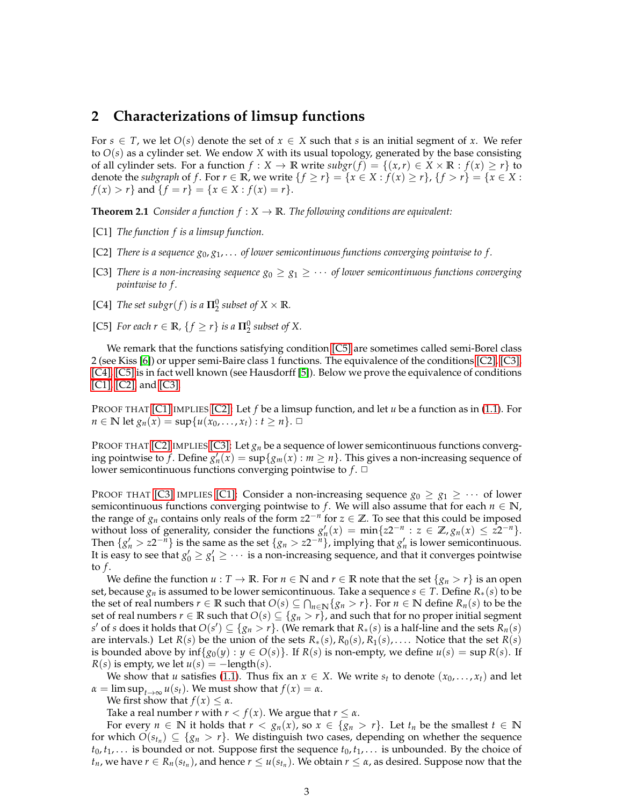# <span id="page-2-0"></span>**2 Characterizations of limsup functions**

For  $s \in T$ , we let  $O(s)$  denote the set of  $x \in X$  such that *s* is an initial segment of *x*. We refer to *O*(*s*) as a cylinder set. We endow *X* with its usual topology, generated by the base consisting of all cylinder sets. For a function  $f : X \to \mathbb{R}$  write  $\text{subgr}(f) = \{(x, r) \in X \times \mathbb{R} : f(x) \geq r\}$  to denote the *subgraph* of *f*. For  $r \in \mathbb{R}$ , we write  $\{f \ge r\} = \{x \in X : f(x) \ge r\}$ ,  $\{f > r\} = \{x \in X : f(x) \ge r\}$ *f*(*x*) > *r*} and {*f* = *r*} = {*x* ∈ *X* : *f*(*x*) = *r*}.

<span id="page-2-5"></span>**Theorem 2.1** *Consider a function*  $f : X \to \mathbb{R}$ *. The following conditions are equivalent:* 

- <span id="page-2-2"></span>[C1] *The function f is a limsup function.*
- <span id="page-2-3"></span>[C2] *There is a sequence g*0, *g*1, . . . *of lower semicontinuous functions converging pointwise to f .*
- [C3] *There is a non-increasing sequence*  $g_0 \geq g_1 \geq \cdots$  *of lower semicontinuous functions converging pointwise to f .*
- <span id="page-2-4"></span><span id="page-2-1"></span>[C4] *The set subgr*(*f*) *is a*  $\Pi_2^0$  *subset of*  $X \times \mathbb{R}$ *.*
- [C5] *For each*  $r \in \mathbb{R}$ *,*  $\{f \geq r\}$  *is a*  $\Pi_2^0$  *subset of X.*

We remark that the functions satisfying condition [\[C5\]](#page-2-1) are sometimes called semi-Borel class 2 (see Kiss [6]) or upper semi-Baire class 1 functions. The equivalence of the conditions [\[C2\],](#page-2-2) [\[C3\],](#page-2-3) [\[C4\],](#page-2-4) [\[C5\]](#page-2-1) is in fact well known (see Hausdorff [5]). Below we prove the equivalence of conditions [\[C1\],](#page-2-5) [\[C2\],](#page-2-2) and [\[C3\].](#page-2-3)

PROOF THAT [\[C1\]](#page-2-5) IMPLIES [\[C2\]:](#page-2-2) Let *f* be a limsup function, and let *u* be a function as in [\(1.1\)](#page-1-1). For *n* ∈ **N** let  $g_n(x) = \sup\{u(x_0, ..., x_t) : t \ge n\}$ . □

PROOF THAT [\[C2\]](#page-2-2) IMPLIES [\[C3\]:](#page-2-3) Let  $g_n$  be a sequence of lower semicontinuous functions converging pointwise to *f*. Define  $g'_n(x) = \sup\{g_m(x) : m \ge n\}$ . This gives a non-increasing sequence of lower semicontinuous functions converging pointwise to  $f$ .  $\Box$ 

PROOF THAT [\[C3\]](#page-2-3) IMPLIES [\[C1\]:](#page-2-5) Consider a non-increasing sequence  $g_0 \geq g_1 \geq \cdots$  of lower semicontinuous functions converging pointwise to *f*. We will also assume that for each  $n \in \mathbb{N}$ , the range of  $g_n$  contains only reals of the form  $z2^{-n}$  for  $z \in \mathbb{Z}$ . To see that this could be imposed without loss of generality, consider the functions  $g'_n(x) = \min\{z2^{-n} : z \in \mathbb{Z}, g_n(x) \leq z2^{-n}\}.$ Then  $\{g'_n > z2^{-n}\}\$  is the same as the set  $\{g_n > z2^{-n}\}\$ , implying that  $g'_n$  is lower semicontinuous. It is easy to see that  $g'_0 \geq g'_1 \geq \cdots$  is a non-increasing sequence, and that it converges pointwise to  $f$ .

We define the function  $u : T \to \mathbb{R}$ . For  $n \in \mathbb{N}$  and  $r \in \mathbb{R}$  note that the set  $\{g_n > r\}$  is an open set, because  $g_n$  is assumed to be lower semicontinuous. Take a sequence  $s \in T$ . Define  $R_*(s)$  to be the set of real numbers  $r \in \mathbb{R}$  such that  $O(s) \subseteq \bigcap_{n \in \mathbb{N}} \{g_n > r\}$ . For  $n \in \mathbb{N}$  define  $R_n(s)$  to be the set of real numbers  $r \in \mathbb{R}$  such that  $O(s) \subseteq \{g_n > r\}$ , and such that for no proper initial segment  $S'$  of *s* does it holds that  $O(s') \subseteq \{g_n > r\}$ . (We remark that  $R_*(s)$  is a half-line and the sets  $R_n(s)$ are intervals.) Let  $R(s)$  be the union of the sets  $R_*(s)$ ,  $R_0(s)$ ,  $R_1(s)$ , .... Notice that the set  $R(s)$ is bounded above by  $\inf\{g_0(y) : y \in O(s)\}\$ . If  $R(s)$  is non-empty, we define  $u(s) = \sup R(s)$ . If  $R(s)$  is empty, we let  $u(s) = -\text{length}(s)$ .

We show that *u* satisfies [\(1.1\)](#page-1-1). Thus fix an  $x \in X$ . We write  $s_t$  to denote  $(x_0, \ldots, x_t)$  and let  $\alpha = \limsup_{t \to \infty} u(s_t)$ . We must show that  $f(x) = \alpha$ .

We first show that  $f(x) \leq \alpha$ .

Take a real number *r* with  $r < f(x)$ . We argue that  $r \leq \alpha$ .

For every  $n \in \mathbb{N}$  it holds that  $r < g_n(x)$ , so  $x \in \{g_n > r\}$ . Let  $t_n$  be the smallest  $t \in \mathbb{N}$ for which  $O(s_{t_n}) \subseteq \{g_n > r\}$ . We distinguish two cases, depending on whether the sequence  $t_0, t_1, \ldots$  is bounded or not. Suppose first the sequence  $t_0, t_1, \ldots$  is unbounded. By the choice of *t*<sub>*n*</sub>, we have *r* ∈ *R*<sub>*n*</sub>( $s$ *t*<sub>*n*</sub></sub>), and hence *r* ≤ *u*( $s$ *t<sub><i>n*</sub></sub>). We obtain *r* ≤ *α*, as desired. Suppose now that the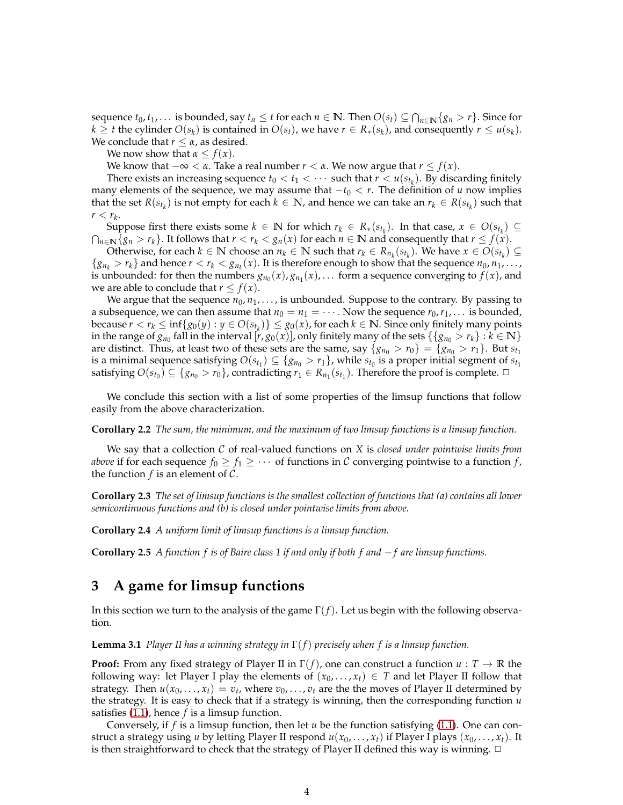sequence  $t_0, t_1, \ldots$  is bounded, say  $t_n \leq t$  for each  $n \in \mathbb{N}$ . Then  $O(s_t) \subseteq \bigcap_{n \in \mathbb{N}} \{g_n > r\}$ . Since for  $k \geq t$  the cylinder  $O(s_k)$  is contained in  $O(s_t)$ , we have  $r \in R_*(s_k)$ , and consequently  $r \leq u(s_k)$ . We conclude that *r* ≤ *α*, as desired.

We now show that  $\alpha \leq f(x)$ .

We know that  $-\infty < \alpha$ . Take a real number  $r < \alpha$ . We now argue that  $r \leq f(x)$ .

There exists an increasing sequence  $t_0 < t_1 < \cdots$  such that  $r < u(s_{t_k})$ . By discarding finitely many elements of the sequence, we may assume that  $-t_0 < r$ . The definition of *u* now implies that the set  $R(s_{t_k})$  is not empty for each  $k \in \mathbb{N}$ , and hence we can take an  $r_k \in R(s_{t_k})$  such that  $r < r_k$ .

Suppose first there exists some  $k \in \mathbb{N}$  for which  $r_k \in R_*(s_{t_k})$ . In that case,  $x \in O(s_{t_k}) \subseteq$  $\bigcap_{n\in\mathbb{N}}\{g_n > r_k\}$ . It follows that  $r < r_k < g_n(x)$  for each  $n \in \mathbb{N}$  and consequently that  $r \leq f(x)$ .

Otherwise, for each  $k \in \mathbb{N}$  choose an  $n_k \in \mathbb{N}$  such that  $r_k \in R_{n_k}(s_{t_k})$ . We have  $x \in O(s_{t_k}) \subseteq$  ${g_n}_k > r_k$  and hence  $r < r_k < g_n(x)$ . It is therefore enough to show that the sequence  $n_0, n_1, \ldots$ , is unbounded: for then the numbers  $g_{n_0}(x)$ ,  $g_{n_1}(x)$ , . . . form a sequence converging to  $f(x)$ , and we are able to conclude that  $r \leq f(x)$ .

We argue that the sequence  $n_0, n_1, \ldots$ , is unbounded. Suppose to the contrary. By passing to a subsequence, we can then assume that  $n_0 = n_1 = \cdots$  . Now the sequence  $r_0, r_1, \ldots$  is bounded,  $\text{because } r < r_k \leq \inf\{g_0(y) : y \in O(s_{t_k})\} \leq g_0(x)$ , for each  $k \in \mathbb{N}$ . Since only finitely many points in the range of  $g_{n_0}$  fall in the interval  $[r, g_0(x)]$ , only finitely many of the sets  $\{\{g_{n_0} > r_k\} : k \in \mathbb{N}\}$ are distinct. Thus, at least two of these sets are the same, say  $\{g_{n_0} > r_0\} = \{g_{n_0} > r_1\}$ . But  $s_{t_1}$ is a minimal sequence satisfying  $O(s_{t_1}) \subseteq \{g_{n_0} > r_1\}$ , while  $s_{t_0}$  is a proper initial segment of  $s_{t_1}$ satisfying  $O(s_{t_0}) \subseteq \{g_{n_0} > r_0\}$ , contradicting  $r_1 \in R_{n_1}(s_{t_1})$ . Therefore the proof is complete.  $\Box$ 

We conclude this section with a list of some properties of the limsup functions that follow easily from the above characterization.

**Corollary 2.2** *The sum, the minimum, and the maximum of two limsup functions is a limsup function.*

We say that a collection C of real-valued functions on *X* is *closed under pointwise limits from above* if for each sequence  $f_0 \ge f_1 \ge \cdots$  of functions in C converging pointwise to a function  $f$ , the function  $f$  is an element of  $C$ .

**Corollary 2.3** *The set of limsup functions is the smallest collection of functions that (a) contains all lower semicontinuous functions and (b) is closed under pointwise limits from above.*

**Corollary 2.4** *A uniform limit of limsup functions is a limsup function.*

<span id="page-3-2"></span>**Corollary 2.5** *A function f is of Baire class 1 if and only if both f and* −*f are limsup functions.*

# <span id="page-3-0"></span>**3 A game for limsup functions**

<span id="page-3-1"></span>In this section we turn to the analysis of the game Γ(*f*). Let us begin with the following observation.

**Lemma 3.1** *Player II has a winning strategy in* Γ(*f*) *precisely when f is a limsup function.*

**Proof:** From any fixed strategy of Player II in Γ(*f*), one can construct a function *u* : *T* → **R** the following way: let Player I play the elements of  $(x_0, \ldots, x_t) \in T$  and let Player II follow that strategy. Then  $u(x_0, \ldots, x_t) = v_t$ , where  $v_0, \ldots, v_t$  are the the moves of Player II determined by the strategy. It is easy to check that if a strategy is winning, then the corresponding function *u* satisfies [\(1.1\)](#page-1-1), hence *f* is a limsup function.

Conversely, if  $f$  is a limsup function, then let  $u$  be the function satisfying [\(1.1\)](#page-1-1). One can construct a strategy using *u* by letting Player II respond  $u(x_0, \ldots, x_t)$  if Player I plays  $(x_0, \ldots, x_t)$ . It is then straightforward to check that the strategy of Player II defined this way is winning.  $\Box$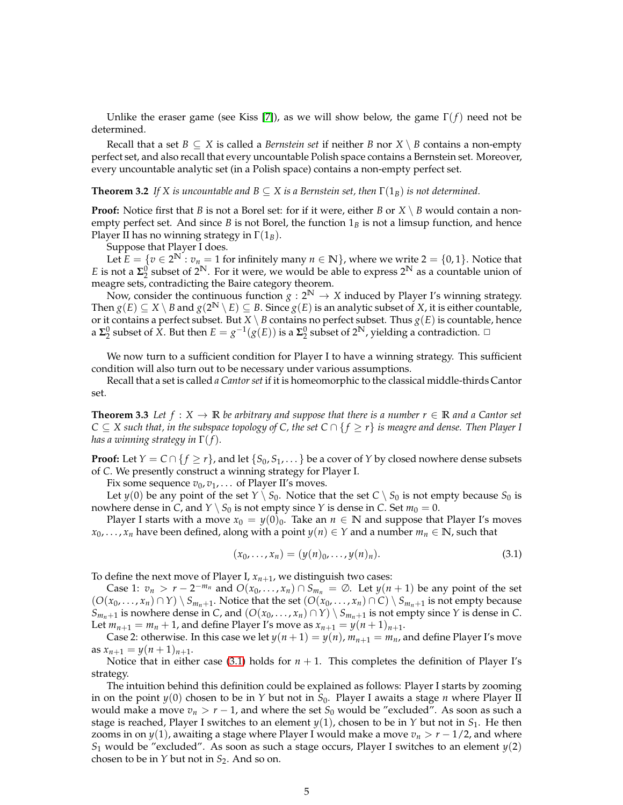Unlike the eraser game (see Kiss [7]), as we will show below, the game Γ(*f*) need not be determined.

Recall that a set *B*  $\subseteq$  *X* is called a *Bernstein set* if neither *B* nor *X*  $\setminus$  *B* contains a non-empty perfect set, and also recall that every uncountable Polish space contains a Bernstein set. Moreover, every uncountable analytic set (in a Polish space) contains a non-empty perfect set.

### **Theorem 3.2** *If X is uncountable and*  $B \subseteq X$  *is a Bernstein set, then*  $\Gamma(1_B)$  *is not determined.*

**Proof:** Notice first that *B* is not a Borel set: for if it were, either *B* or *X* \ *B* would contain a nonempty perfect set. And since  $B$  is not Borel, the function  $1_B$  is not a limsup function, and hence Player II has no winning strategy in Γ(1*B*).

Suppose that Player I does.

Let  $\hat{E} = \{v \in 2^N : v_n = 1 \text{ for infinitely many } n \in \mathbb{N}\}\$ , where we write  $2 = \{0, 1\}$ . Notice that *E* is not a  $\Sigma_2^0$  subset of  $2^N$ . For it were, we would be able to express  $2^N$  as a countable union of meagre sets, contradicting the Baire category theorem.

Now, consider the continuous function  $g: 2^N \to X$  induced by Player I's winning strategy. Then  $g(E) \subseteq X \setminus B$  and  $g(2^N \setminus E) \subseteq B$ . Since  $g(E)$  is an analytic subset of *X*, it is either countable, or it contains a perfect subset. But  $X \setminus B$  contains no perfect subset. Thus  $g(E)$  is countable, hence a  $\Sigma_2^0$  subset of  $\overline{X}$ . But then  $E = g^{-1}(g(E))$  is a  $\Sigma_2^0$  subset of  $2^N$ , yielding a contradiction.  $\Box$ 

We now turn to a sufficient condition for Player I to have a winning strategy. This sufficient condition will also turn out to be necessary under various assumptions.

<span id="page-4-1"></span>Recall that a set is called *a Cantor set* if it is homeomorphic to the classical middle-thirds Cantor set.

**Theorem 3.3** Let  $f: X \to \mathbb{R}$  be arbitrary and suppose that there is a number  $r \in \mathbb{R}$  and a Cantor set *C* ⊆ *X such that, in the subspace topology of C, the set C* ∩ { *f* ≥ *r*} *is meagre and dense. Then Player I has a winning strategy in* Γ(*f*)*.*

**Proof:** Let  $Y = C \cap \{f \ge r\}$ , and let  $\{S_0, S_1, \ldots\}$  be a cover of  $Y$  by closed nowhere dense subsets of *C*. We presently construct a winning strategy for Player I.

Fix some sequence  $v_0$ ,  $v_1$ , . . . of Player II's moves.

Let *y*(0) be any point of the set  $Y \setminus S_0$ . Notice that the set  $C \setminus S_0$  is not empty because  $S_0$  is nowhere dense in *C*, and *Y*  $\setminus$  *S*<sub>0</sub> is not empty since *Y* is dense in *C*. Set  $m_0 = 0$ .

Player I starts with a move  $x_0 = y(0)_0$ . Take an  $n \in \mathbb{N}$  and suppose that Player I's moves *x*<sub>0</sub>, . . . , *x*<sub>*n*</sub> have been defined, along with a point *y*(*n*) ∈ *Y* and a number *m*<sub>*n*</sub> ∈ **N**, such that

<span id="page-4-0"></span>
$$
(x_0, \ldots, x_n) = (y(n)_0, \ldots, y(n)_n). \tag{3.1}
$$

To define the next move of Player I,  $x_{n+1}$ , we distinguish two cases:

Case 1:  $v_n > r - 2^{-m_n}$  and  $O(x_0, ..., x_n) \cap S_{m_n} = \emptyset$ . Let  $y(n + 1)$  be any point of the set  $(O(x_0, ..., x_n) \cap Y) \setminus S_{m_n+1}$ . Notice that the set  $(O(x_0, ..., x_n) \cap C) \setminus S_{m_n+1}$  is not empty because *S*<sup>*m*<sub>*n*</sub>+1</sub> is nowhere dense in *C*, and (*O*(*x*<sub>0</sub>, . . . , *x*<sub>*n*</sub>) ∩ *Y*)  $\setminus$  *S*<sub>*m*<sub>*n*</sub>+1</sub> is not empty since *Y* is dense in *C*.</sup> Let  $m_{n+1} = m_n + 1$ , and define Player I's move as  $x_{n+1} = y(n+1)_{n+1}$ .

Case 2: otherwise. In this case we let  $y(n+1) = y(n)$ ,  $m_{n+1} = m_n$ , and define Player I's move as  $x_{n+1} = y(n+1)_{n+1}$ .

Notice that in either case [\(3.1\)](#page-4-0) holds for  $n + 1$ . This completes the definition of Player I's strategy.

The intuition behind this definition could be explained as follows: Player I starts by zooming in on the point  $y(0)$  chosen to be in  $Y$  but not in  $S_0$ . Player I awaits a stage  $n$  where Player II would make a move  $v_n > r - 1$ , and where the set  $S_0$  would be "excluded". As soon as such a stage is reached, Player I switches to an element *y*(1), chosen to be in *Y* but not in *S*<sup>1</sup> . He then zooms in on  $y(1)$ , awaiting a stage where Player I would make a move  $v_n > r - 1/2$ , and where  $S_1$  would be "excluded". As soon as such a stage occurs, Player I switches to an element  $y(2)$ chosen to be in  $Y$  but not in  $S_2$ . And so on.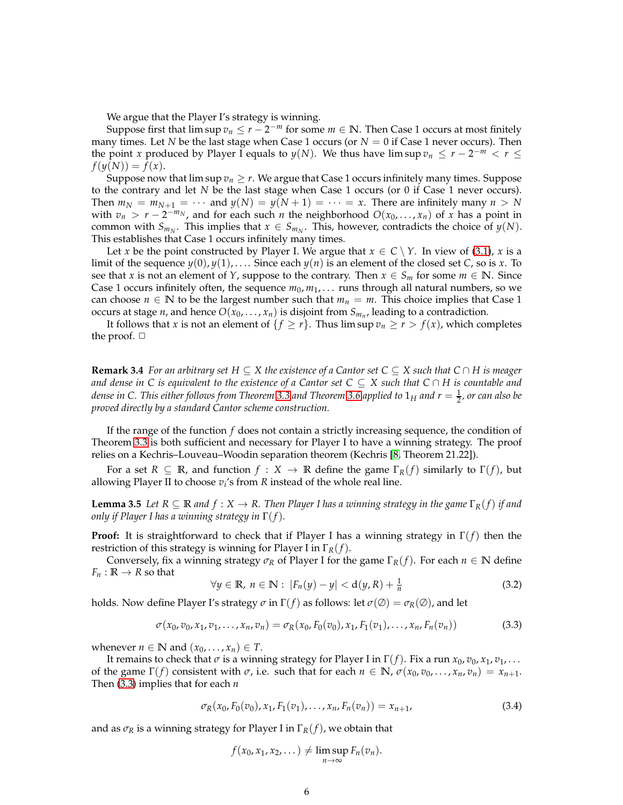We argue that the Player I's strategy is winning.

Suppose first that  $\limsup v_n \leq r-2^{-m}$  for some  $m \in \mathbb{N}$ . Then Case 1 occurs at most finitely many times. Let *N* be the last stage when Case 1 occurs (or *N* = 0 if Case 1 never occurs). Then the point *x* produced by Player I equals to *y*(*N*). We thus have lim sup  $v_n \le r - 2^{-m} < r \le$  $f(y(N)) = f(x)$ .

Suppose now that  $\limsup v_n \geq r$ . We argue that Case 1 occurs infinitely many times. Suppose to the contrary and let *N* be the last stage when Case 1 occurs (or 0 if Case 1 never occurs). Then  $m_N = m_{N+1} = \cdots$  and  $y(N) = y(N+1) = \cdots = x$ . There are infinitely many  $n > N$ with  $v_n > r - 2^{-m_N}$ , and for each such *n* the neighborhood  $O(x_0, ..., x_n)$  of *x* has a point in common with  $S_{m_N}$ . This implies that  $x \in S_{m_N}$ . This, however, contradicts the choice of  $y(N)$ . This establishes that Case 1 occurs infinitely many times.

Let *x* be the point constructed by Player I. We argue that  $x \in C \setminus Y$ . In view of [\(3.1\)](#page-4-0), *x* is a limit of the sequence  $y(0)$ ,  $y(1)$ , .... Since each  $y(n)$  is an element of the closed set *C*, so is *x*. To see that *x* is not an element of *Y*, suppose to the contrary. Then  $x \in S_m$  for some  $m \in \mathbb{N}$ . Since Case 1 occurs infinitely often, the sequence  $m_0, m_1, \ldots$  runs through all natural numbers, so we can choose  $n \in \mathbb{N}$  to be the largest number such that  $m_n = m$ . This choice implies that Case 1 occurs at stage *n*, and hence  $O(x_0, \ldots, x_n)$  is disjoint from  $S_{m_n}$ , leading to a contradiction.

It follows that *x* is not an element of  $\{f \ge r\}$ . Thus lim sup  $v_n \ge r > f(x)$ , which completes the proof.  $\Box$ 

**Remark 3.4** *For an arbitrary set H* ⊆ *X the existence of a Cantor set C* ⊆ *X such that C* ∩ *H is meager and dense in C is equivalent to the existence of a Cantor set C* ⊆ *X such that C* ∩ *H is countable and* dense in C. This either follows from Theorem [3.3](#page-4-1) and Theorem [3.6](#page-6-0) applied to  $1_H$  and  $r=\frac{1}{2}$ , or can also be *proved directly by a standard Cantor scheme construction.*

If the range of the function *f* does not contain a strictly increasing sequence, the condition of Theorem [3.3](#page-4-1) is both sufficient and necessary for Player I to have a winning strategy. The proof relies on a Kechris–Louveau–Woodin separation theorem (Kechris [8, Theorem 21.22]).

<span id="page-5-2"></span>For a set  $R \subseteq \mathbb{R}$ , and function  $f : X \to \mathbb{R}$  define the game  $\Gamma_R(f)$  similarly to  $\Gamma(f)$ , but allowing Player II to choose  $v_i$ 's from  $R$  instead of the whole real line.

**Lemma 3.5** *Let*  $R \subseteq \mathbb{R}$  *and*  $f: X \to R$ . Then Player I has a winning strategy in the game  $\Gamma_R(f)$  *if and only if Player I has a winning strategy in* Γ(*f*)*.*

**Proof:** It is straightforward to check that if Player I has a winning strategy in Γ(*f*) then the restriction of this strategy is winning for Player I in Γ*R*(*f*).

Conversely, fix a winning strategy  $\sigma_R$  of Player I for the game  $\Gamma_R(f)$ . For each  $n \in \mathbb{N}$  define  $F_n : \mathbb{R} \to \mathbb{R}$  so that

<span id="page-5-1"></span>
$$
\forall y \in \mathbb{R}, \ n \in \mathbb{N}: \ |F_n(y) - y| < d(y, R) + \frac{1}{n} \tag{3.2}
$$

holds. Now define Player I's strategy  $\sigma$  in  $\Gamma(f)$  as follows: let  $\sigma(\emptyset) = \sigma_R(\emptyset)$ , and let

<span id="page-5-0"></span>
$$
\sigma(x_0, v_0, x_1, v_1, \dots, x_n, v_n) = \sigma_R(x_0, F_0(v_0), x_1, F_1(v_1), \dots, x_n, F_n(v_n))
$$
\n(3.3)

whenever  $n \in \mathbb{N}$  and  $(x_0, \ldots, x_n) \in T$ .

It remains to check that  $\sigma$  is a winning strategy for Player I in  $\Gamma(f)$ . Fix a run  $x_0$ ,  $v_0$ ,  $x_1$ ,  $v_1$ ,  $\ldots$ of the game Γ(*f*) consistent with  $\sigma$ , i.e. such that for each  $n \in \mathbb{N}$ ,  $\sigma(x_0, v_0, \ldots, x_n, v_n) = x_{n+1}$ . Then [\(3.3\)](#page-5-0) implies that for each *n*

$$
\sigma_R(x_0, F_0(v_0), x_1, F_1(v_1), \dots, x_n, F_n(v_n)) = x_{n+1},
$$
\n(3.4)

and as  $\sigma_R$  is a winning strategy for Player I in  $\Gamma_R(f)$ , we obtain that

$$
f(x_0,x_1,x_2,\dots) \neq \limsup_{n\to\infty} F_n(v_n).
$$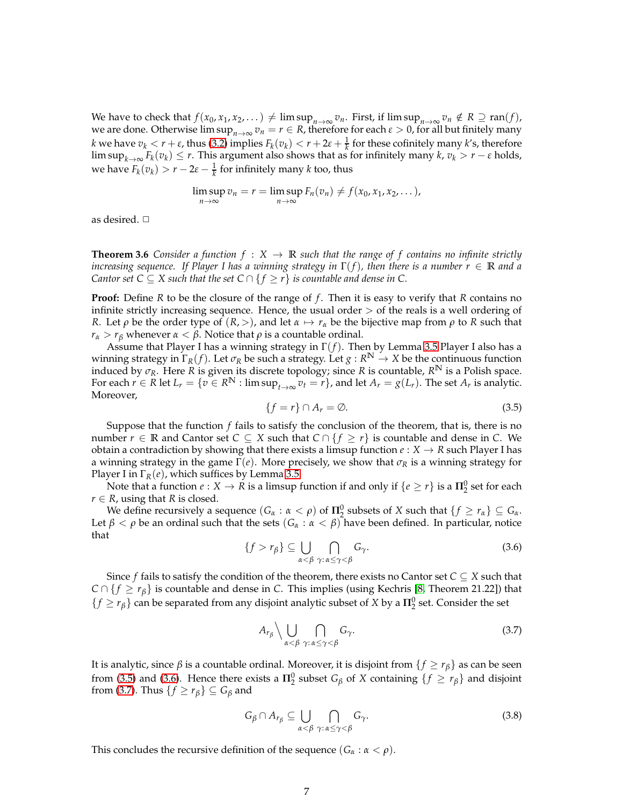We have to check that  $f(x_0, x_1, x_2, ...) \neq \limsup_{n \to \infty} v_n$ . First, if  $\limsup_{n \to \infty} v_n \notin R \supseteq \text{ran}(f)$ , we are done. Otherwise  $\limsup_{n\to\infty} v_n = r \in R$ , therefore for each  $\varepsilon > 0$ , for all but finitely many *k* we have  $v_k < r + \varepsilon$ , thus [\(3.2\)](#page-5-1) implies  $F_k(v_k) < r + 2\varepsilon + \frac{1}{k}$  for these cofinitely many *k*'s, therefore  $\limsup_{k\to\infty} F_k(v_k) \leq r$ . This argument also shows that as for infinitely many  $k$ ,  $v_k > r - \varepsilon$  holds, we have  $F_k(v_k) > r - 2\varepsilon - \frac{1}{k}$  for infinitely many *k* too, thus

$$
\limsup_{n\to\infty}v_n=r=\limsup_{n\to\infty}F_n(v_n)\neq f(x_0,x_1,x_2,\ldots),
$$

<span id="page-6-0"></span>as desired.  $\Box$ 

**Theorem 3.6** *Consider a function*  $f : X \to \mathbb{R}$  *such that the range of f contains no infinite strictly increasing sequence. If Player I has a winning strategy in* Γ(*f*)*, then there is a number r* ∈ **R** *and a Cantor set C*  $\subseteq$  *X such that the set C*  $\cap$  { $f \ge r$ } *is countable and dense in C.* 

**Proof:** Define *R* to be the closure of the range of *f* . Then it is easy to verify that *R* contains no infinite strictly increasing sequence. Hence, the usual order  $>$  of the reals is a well ordering of *R*. Let *ρ* be the order type of  $(R, >)$ , and let  $\alpha \mapsto r_\alpha$  be the bijective map from *ρ* to *R* such that *r*<sub>*α*</sub> > *r*<sub>*β*</sub> whenever *α* < *β*. Notice that *ρ* is a countable ordinal.

Assume that Player I has a winning strategy in Γ(*f*). Then by Lemma [3.5](#page-5-2) Player I also has a winning strategy in  $\Gamma_R(f)$ . Let  $\sigma_R$  be such a strategy. Let  $g: R^N \to X$  be the continuous function induced by  $\sigma_R$ . Here *R* is given its discrete topology; since *R* is countable,  $R^N$  is a Polish space. For each  $r \in R$  let  $L_r = \{v \in R^N : \limsup_{t \to \infty} v_t = r\}$ , and let  $A_r = g(L_r)$ . The set  $A_r$  is analytic. Moreover,

<span id="page-6-1"></span>
$$
\{f = r\} \cap A_r = \emptyset. \tag{3.5}
$$

Suppose that the function *f* fails to satisfy the conclusion of the theorem, that is, there is no number *r* ∈ **R** and Cantor set *C* ⊆ *X* such that *C* ∩ {*f* ≥ *r*} is countable and dense in *C*. We obtain a contradiction by showing that there exists a limsup function  $e: X \to R$  such Player I has a winning strategy in the game Γ(*e*). More precisely, we show that *σ<sup>R</sup>* is a winning strategy for Player I in Γ*R*(*e*), which suffices by Lemma [3.5.](#page-5-2)

Note that a function  $e: X \to R$  is a limsup function if and only if  $\{e \ge r\}$  is a  $\Pi_2^0$  set for each  $r \in R$ , using that *R* is closed.

We define recursively a sequence  $(G_\alpha : \alpha < \rho)$  of  $\Pi^0_2$  subsets of *X* such that  $\{f \ge r_\alpha\} \subseteq G_\alpha$ . Let  $\beta < \rho$  be an ordinal such that the sets  $(G_\alpha : \alpha < \beta)$  have been defined. In particular, notice that

<span id="page-6-2"></span>
$$
\{f > r_{\beta}\} \subseteq \bigcup_{\alpha < \beta} \bigcap_{\gamma: \alpha \leq \gamma < \beta} G_{\gamma}.\tag{3.6}
$$

Since *f* fails to satisfy the condition of the theorem, there exists no Cantor set  $C \subseteq X$  such that *C* ∩ { $f \ge r_\beta$ } is countable and dense in *C*. This implies (using Kechris [8, Theorem 21.22]) that  ${f \geq r_\beta}$  can be separated from any disjoint analytic subset of *X* by a  $\Pi_2^0$  set. Consider the set

<span id="page-6-3"></span>
$$
A_{r_{\beta}} \setminus \bigcup_{\alpha < \beta} \bigcap_{\gamma \colon \alpha \leq \gamma < \beta} G_{\gamma}.\tag{3.7}
$$

It is analytic, since *β* is a countable ordinal. Moreover, it is disjoint from  ${f \geq r_\beta}$  as can be seen from [\(3.5\)](#page-6-1) and [\(3.6\)](#page-6-2). Hence there exists a  $\Pi_2^0$  subset  $G_\beta$  of *X* containing  $\{f \ge r_\beta\}$  and disjoint from [\(3.7\)](#page-6-3). Thus  $\{f \ge r_\beta\} \subseteq G_\beta$  and

<span id="page-6-4"></span>
$$
G_{\beta} \cap A_{r_{\beta}} \subseteq \bigcup_{\alpha < \beta} \bigcap_{\gamma: \alpha \leq \gamma < \beta} G_{\gamma}.\tag{3.8}
$$

This concludes the recursive definition of the sequence  $(G_\alpha : \alpha < \rho)$ .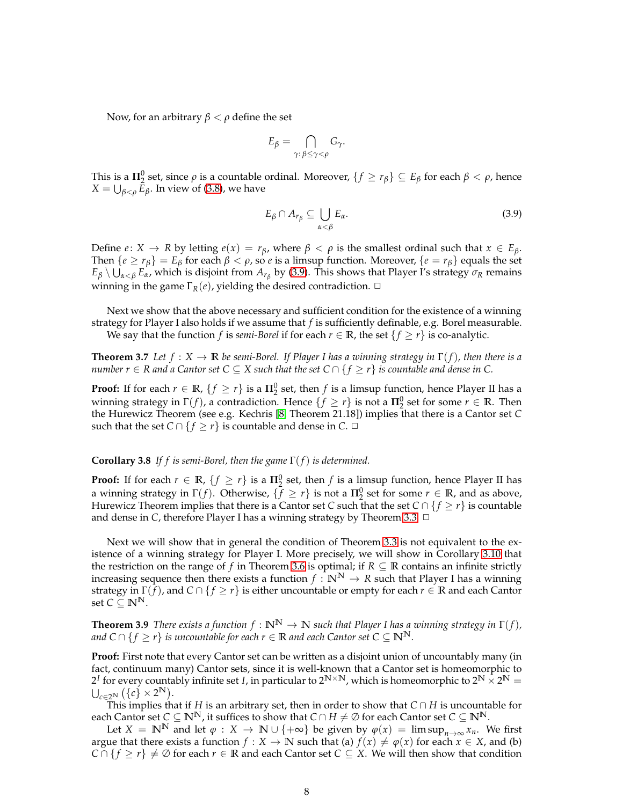Now, for an arbitrary  $β < ρ$  define the set

$$
E_{\beta} = \bigcap_{\gamma:\,\beta \leq \gamma < \rho} G_{\gamma}.
$$

This is a  $\Pi_2^0$  set, since  $\rho$  is a countable ordinal. Moreover,  $\{f \geq r_\beta\} \subseteq E_\beta$  for each  $\beta < \rho$ , hence  $X = \bigcup_{\beta < \rho} E_\beta$ . In view of [\(3.8\)](#page-6-4), we have

<span id="page-7-0"></span>
$$
E_{\beta} \cap A_{r_{\beta}} \subseteq \bigcup_{\alpha < \beta} E_{\alpha}.\tag{3.9}
$$

Define *e*:  $X \rightarrow R$  by letting  $e(x) = r_\beta$ , where  $\beta < \rho$  is the smallest ordinal such that  $x \in E_\beta$ . Then  $\{e \ge r_\beta\} = E_\beta$  for each  $\beta < \rho$ , so *e* is a limsup function. Moreover,  $\{e = r_\beta\}$  equals the set  $E_\beta\setminus\bigcup_{\alpha<\beta}E_\alpha$ , which is disjoint from  $A_{r_\beta}$  by [\(3.9\)](#page-7-0). This shows that Player I's strategy  $\sigma_R$  remains winning in the game  $\Gamma_R(e)$ , yielding the desired contradiction.  $\Box$ 

Next we show that the above necessary and sufficient condition for the existence of a winning strategy for Player I also holds if we assume that *f* is sufficiently definable, e.g. Borel measurable. We say that the function *f* is *semi-Borel* if for each  $r \in \mathbb{R}$ , the set  $\{f \geq r\}$  is co-analytic.

<span id="page-7-2"></span>**Theorem 3.7** *Let*  $f : X \to \mathbb{R}$  *be semi-Borel. If Player I has a winning strategy in*  $\Gamma(f)$ *, then there is a number r*  $\in$  *R* and a Cantor set C  $\subseteq$  *X* such that the set C  $\cap$  {  $f \ge r$ } is countable and dense in C.

**Proof:** If for each  $r \in \mathbb{R}$ ,  $\{f \geq r\}$  is a  $\Pi_2^0$  set, then  $f$  is a limsup function, hence Player II has a winning strategy in  $\Gamma(f)$ , a contradiction. Hence  $\{f \geq r\}$  is not a  $\Pi^0_2$  set for some  $r \in \mathbb{R}$ . Then the Hurewicz Theorem (see e.g. Kechris [8, Theorem 21.18]) implies that there is a Cantor set *C* such that the set  $C \cap \{f \geq r\}$  is countable and dense in  $C$ .  $\Box$ 

#### <span id="page-7-3"></span>**Corollary 3.8** *If f is semi-Borel, then the game* Γ(*f*) *is determined.*

**Proof:** If for each  $r \in \mathbb{R}$ ,  $\{f \geq r\}$  is a  $\Pi_2^0$  set, then  $f$  is a limsup function, hence Player II has a winning strategy in  $\Gamma(f)$ . Otherwise,  $\{\bar{f} \geq r\}$  is not a  $\Pi_2^0$  set for some  $r \in \mathbb{R}$ , and as above, Hurewicz Theorem implies that there is a Cantor set *C* such that the set  $C \cap \{f \geq r\}$  is countable and dense in *C*, therefore Player I has a winning strategy by Theorem [3.3.](#page-4-1) □

Next we will show that in general the condition of Theorem [3.3](#page-4-1) is not equivalent to the existence of a winning strategy for Player I. More precisely, we will show in Corollary [3.10](#page-8-0) that the restriction on the range of *f* in Theorem [3.6](#page-6-0) is optimal; if  $R \subseteq \mathbb{R}$  contains an infinite strictly increasing sequence then there exists a function  $f : \mathbb{N}^N \to R$  such that Player I has a winning strategy in Γ(*f*), and *C* ∩ { *f* ≥ *r*} is either uncountable or empty for each *r* ∈ **R** and each Cantor set  $C \subseteq \mathbb{N}^{\mathbb{N}}$ .

<span id="page-7-1"></span>**Theorem 3.9** *There exists a function*  $f : \mathbb{N}^{\mathbb{N}} \to \mathbb{N}$  *such that Player I has a winning strategy in*  $\Gamma(f)$ *, and*  $C$  ∩ {  $f$  ≥  $r$ } *is uncountable for each*  $r$  ∈  $R$  *and each Cantor set*  $C$  ⊆  $\mathbb{N}^{\mathbb{N}}$ .

**Proof:** First note that every Cantor set can be written as a disjoint union of uncountably many (in fact, continuum many) Cantor sets, since it is well-known that a Cantor set is homeomorphic to  $2^I$  for every countably infinite set *I*, in particular to  $2^{N \times N}$ , which is homeomorphic to  $2^N \times 2^N = 1$  $\bigcup_{c\in 2^{\mathbb{N}}}\left(\left\{c\right\}\times 2^{\mathbb{N}}\right).$ 

This implies that if *H* is an arbitrary set, then in order to show that *C* ∩ *H* is uncountable for each Cantor set  $C \subseteq \mathbb{N}^{\mathbb{N}}$ , it suffices to show that  $C \cap H \neq \emptyset$  for each Cantor set  $C \subseteq \mathbb{N}^{\mathbb{N}}$ .

Let  $X = \mathbb{N}^{\mathbb{N}}$  and let  $\varphi : X \to \mathbb{N} \cup \{+\infty\}$  be given by  $\varphi(x) = \limsup_{n \to \infty} x_n$ . We first argue that there exists a function  $f : X \to \mathbb{N}$  such that (a)  $f(x) \neq \varphi(x)$  for each  $x \in X$ , and (b) *C* ∩ { $f$  ≥  $r$ }  $\neq$  ∅ for each  $r \in \mathbb{R}$  and each Cantor set  $C \subseteq X$ . We will then show that condition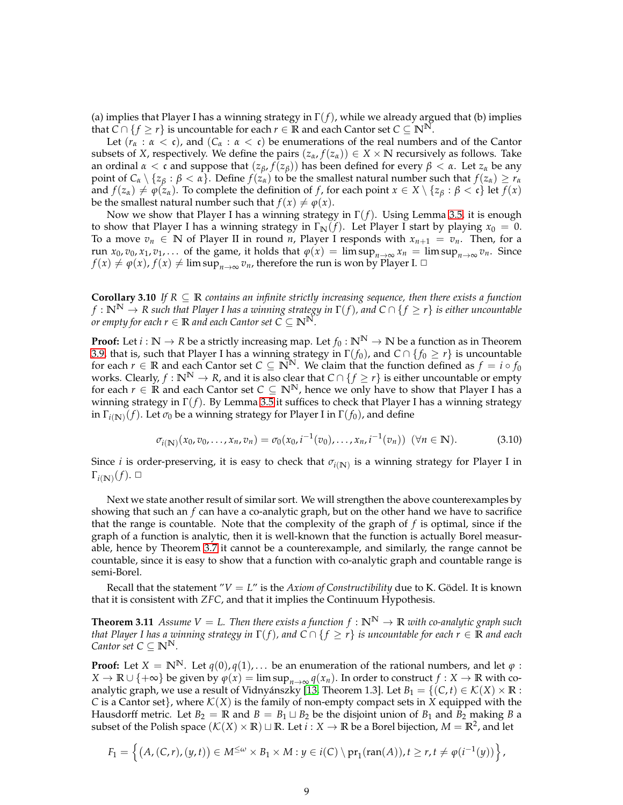(a) implies that Player I has a winning strategy in  $\Gamma(f)$ , while we already argued that (b) implies that *C* ∩ {*f* ≥ *r*} is uncountable for each *r* ∈ **R** and each Cantor set *C* ⊆ **N**<sup>N</sup>.

Let  $(r_\alpha : \alpha < \mathfrak{c})$ , and  $(C_\alpha : \alpha < \mathfrak{c})$  be enumerations of the real numbers and of the Cantor subsets of *X*, respectively. We define the pairs  $(z_\alpha, f(z_\alpha)) \in X \times \mathbb{N}$  recursively as follows. Take an ordinal  $\alpha < \mathfrak{c}$  and suppose that  $(z_{\beta}, f(z_{\beta}))$  has been defined for every  $\beta < \alpha$ . Let  $z_{\alpha}$  be any point of  $C_\alpha \setminus \{z_\beta : \beta < \alpha\}$ . Define  $f(z_\alpha)$  to be the smallest natural number such that  $f(z_\alpha) \geq r_\alpha$ and  $f(z_\alpha) \neq \varphi(z_\alpha)$ . To complete the definition of *f*, for each point  $x \in X \setminus \{z_\beta : \beta < \mathfrak{c}\}\$ let  $f(x)$ be the smallest natural number such that  $f(x) \neq \varphi(x)$ .

Now we show that Player I has a winning strategy in Γ(*f*). Using Lemma [3.5,](#page-5-2) it is enough to show that Player I has a winning strategy in  $\Gamma_N(f)$ . Let Player I start by playing  $x_0 = 0$ . To a move  $v_n$  ∈ **N** of Player II in round *n*, Player I responds with  $x_{n+1} = v_n$ . Then, for a run *x*<sub>0</sub>, *v*<sub>0</sub>, *x*<sub>1</sub>, *v*<sub>1</sub>,... of the game, it holds that  $\varphi(x) = \limsup_{n \to \infty} x_n = \limsup_{n \to \infty} v_n$ . Since  $f(x) \neq \varphi(x)$ ,  $f(x) \neq \limsup_{n \to \infty} v_n$ , therefore the run is won by Player I.  $\Box$ 

<span id="page-8-0"></span>**Corollary 3.10** *If*  $R \subseteq \mathbb{R}$  *contains an infinite strictly increasing sequence, then there exists a function*  $f : \mathbb{N}^{\mathbb{N}} \to \mathbb{R}$  such that Player I has a winning strategy in  $\Gamma(f)$ , and  $C \cap \{f \geq r\}$  is either uncountable *or empty for each*  $r \in \mathbb{R}$  *and each Cantor set*  $C \subseteq \mathbb{N}^{\mathbb{N}}$ *.* 

**Proof:** Let  $i : \mathbb{N} \to \mathbb{R}$  be a strictly increasing map. Let  $f_0 : \mathbb{N}^{\mathbb{N}} \to \mathbb{N}$  be a function as in Theorem [3.9,](#page-7-1) that is, such that Player I has a winning strategy in  $\Gamma(f_0)$ , and  $C \cap \{f_0 \geq r\}$  is uncountable for each  $r \in \mathbb{R}$  and each Cantor set  $C \subseteq \mathbb{N}^{\mathbb{N}}$ . We claim that the function defined as  $f = i \circ f_0$ works. Clearly,  $f : \mathbb{N}^{\mathbb{N}} \to \mathbb{R}$ , and it is also clear that  $C \cap \{f \geq r\}$  is either uncountable or empty for each *r* ∈ **R** and each Cantor set  $C \subseteq \mathbb{N}^{\mathbb{N}}$ , hence we only have to show that Player I has a winning strategy in Γ(*f*). By Lemma [3.5](#page-5-2) it suffices to check that Player I has a winning strategy in <sup>Γ</sup>*i*(**N**) (*f*). Let *σ*<sup>0</sup> be a winning strategy for Player I in Γ(*f*0), and define

$$
\sigma_{i(N)}(x_0, v_0, \dots, x_n, v_n) = \sigma_0(x_0, i^{-1}(v_0), \dots, x_n, i^{-1}(v_n)) \quad (\forall n \in \mathbb{N}).
$$
\n(3.10)

Since  $i$  is order-preserving, it is easy to check that  $\sigma_{i({\rm I\!N})}$  is a winning strategy for Player I in  $\Gamma_{i(N)}(f)$ .  $\Box$ 

Next we state another result of similar sort. We will strengthen the above counterexamples by showing that such an *f* can have a co-analytic graph, but on the other hand we have to sacrifice that the range is countable. Note that the complexity of the graph of *f* is optimal, since if the graph of a function is analytic, then it is well-known that the function is actually Borel measurable, hence by Theorem [3.7](#page-7-2) it cannot be a counterexample, and similarly, the range cannot be countable, since it is easy to show that a function with co-analytic graph and countable range is semi-Borel.

Recall that the statement " $V = L$ " is the *Axiom of Constructibility* due to K. Gödel. It is known that it is consistent with *ZFC*, and that it implies the Continuum Hypothesis.

**Theorem 3.11** *Assume V* = *L.* Then there exists a function  $f : \mathbb{N}^{\mathbb{N}} \to \mathbb{R}$  with co-analytic graph such *that Player I has a winning strategy in*  $\Gamma(f)$ *, and*  $C \cap \{f \geq r\}$  *is uncountable for each*  $r \in \mathbb{R}$  *and each Cantor set*  $C \subseteq \mathbb{N}^{\mathbb{N}}$ *.* 

**Proof:** Let  $X = \mathbb{N}^{\mathbb{N}}$ . Let  $q(0), q(1), \ldots$  be an enumeration of the rational numbers, and let  $\varphi$ : *X* → **R** ∪ {+∞} be given by  $\varphi(x) = \limsup_{n\to\infty} q(x_n)$ . In order to construct  $f: X \to \mathbb{R}$  with coanalytic graph, we use a result of Vidnyánszky [13, Theorem 1.3]. Let  $B_1 = \{ (C, t) \in \mathcal{K}(X) \times \mathbb{R} :$ *C* is a Cantor set}, where  $K(X)$  is the family of non-empty compact sets in *X* equipped with the Hausdorff metric. Let  $B_2 = \mathbb{R}$  and  $B = B_1 \sqcup B_2$  be the disjoint union of  $B_1$  and  $B_2$  making *B* a subset of the Polish space  $(\mathcal{K}(X) \times \mathbb{R}) \sqcup \mathbb{R}$ . Let  $i : X \to \mathbb{R}$  be a Borel bijection,  $M = \mathbb{R}^2$ , and let

$$
F_1 = \left\{ (A, (C, r), (y, t)) \in M^{\leq \omega} \times B_1 \times M : y \in i(C) \setminus pr_1(\text{ran}(A)), t \geq r, t \neq \varphi(i^{-1}(y)) \right\},\
$$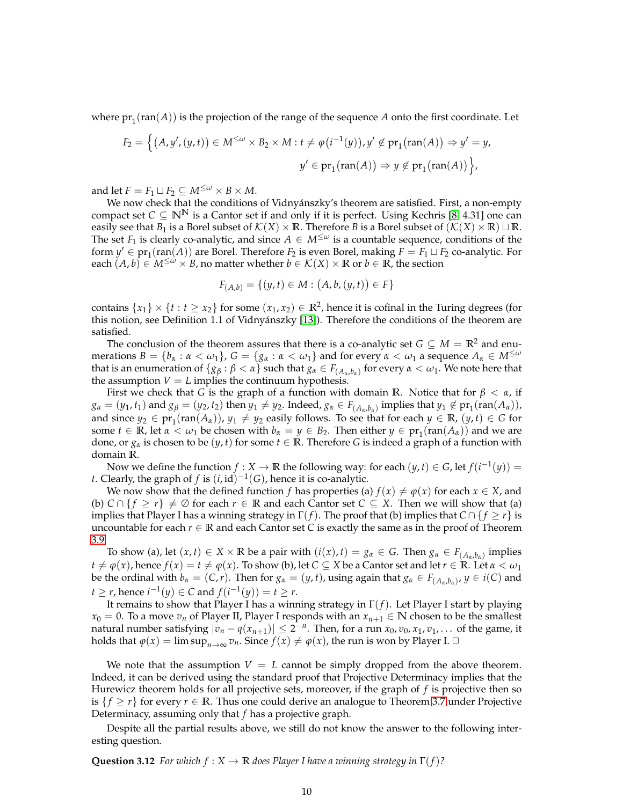where  $pr_1$ ( $ran(A)$ ) is the projection of the range of the sequence *A* onto the first coordinate. Let

$$
F_2 = \Big\{ (A, y', (y, t)) \in M^{\leq \omega} \times B_2 \times M : t \neq \varphi(i^{-1}(y)), y' \notin pr_1(\text{ran}(A)) \Rightarrow y' = y,
$$
  

$$
y' \in pr_1(\text{ran}(A)) \Rightarrow y \notin pr_1(\text{ran}(A)) \Big\},
$$

and let  $F = F_1 \sqcup F_2 \subseteq M^{\leq \omega} \times B \times M$ .

We now check that the conditions of Vidnyánszky's theorem are satisfied. First, a non-empty compact set  $C \subseteq \mathbb{N}^{\mathbb{N}}$  is a Cantor set if and only if it is perfect. Using Kechris [8, 4.31] one can easily see that *B*<sub>1</sub> is a Borel subset of  $\mathcal{K}(X) \times \mathbb{R}$ . Therefore *B* is a Borel subset of  $(\mathcal{K}(X) \times \mathbb{R}) \sqcup \mathbb{R}$ . The set  $F_1$  is clearly co-analytic, and since  $A \in M^{\leq \omega}$  is a countable sequence, conditions of the form  $y'$  ∈ pr<sub>1</sub>(ran(*A*)) are Borel. Therefore *F*<sub>2</sub> is even Borel, making *F* = *F*<sub>1</sub> ⊔ *F*<sub>2</sub> co-analytic. For each  $(A, b) \in M^{\leq \omega} \times B$ , no matter whether  $b \in \mathcal{K}(X) \times \mathbb{R}$  or  $b \in \mathbb{R}$ , the section

$$
F_{(A,b)} = \{(y,t) \in M : (A,b,(y,t)) \in F\}
$$

contains  $\{x_1\} \times \{t : t \geq x_2\}$  for some  $(x_1, x_2) \in \mathbb{R}^2$ , hence it is cofinal in the Turing degrees (for this notion, see Definition 1.1 of Vidnyánszky [13]). Therefore the conditions of the theorem are satisfied.

The conclusion of the theorem assures that there is a co-analytic set  $G \subseteq M = \mathbb{R}^2$  and enumerations  $B = \{b_\alpha : \alpha < \omega_1\}$ ,  $G = \{g_\alpha : \alpha < \omega_1\}$  and for every  $\alpha < \omega_1$  a sequence  $A_\alpha \in M^{\leq \omega}$ that is an enumeration of  $\{g_\beta : \beta < \alpha\}$  such that  $g_\alpha \in F_{(A_\alpha,b_\alpha)}$  for every  $\alpha < \omega_1$ . We note here that the assumption  $V = L$  implies the continuum hypothesis.

First we check that *G* is the graph of a function with domain **R**. Notice that for  $\beta < \alpha$ , if  $g_{\alpha}=(y_1,t_1)$  and  $g_{\beta}=(y_2,t_2)$  then  $y_1\neq y_2$ . Indeed,  $g_{\alpha}\in F_{(A_{\alpha},b_{\alpha})}$  implies that  $y_1\notin \text{pr}_1(\text{ran}(A_{\alpha})),$ and since  $y_2 \in \text{pr}_1(\text{ran}(A_\alpha))$ ,  $y_1 \neq y_2$  easily follows. To see that for each  $y \in \mathbb{R}$ ,  $(y, t) \in G$  for some  $t \in \mathbb{R}$ , let  $\alpha < \omega_1$  be chosen with  $b_\alpha = y \in B_2$ . Then either  $y \in \text{pr}_1(\text{ran}(A_\alpha))$  and we are done, or  $g_\alpha$  is chosen to be  $(y, t)$  for some  $t \in \mathbb{R}$ . Therefore *G* is indeed a graph of a function with domain **R**.

Now we define the function  $f : X \to \mathbb{R}$  the following way: for each  $(y, t) \in G$ , let  $f(i^{-1}(y)) =$ *t*. Clearly, the graph of *f* is  $(i, id)^{-1}(G)$ , hence it is co-analytic.

We now show that the defined function *f* has properties (a)  $f(x) \neq \varphi(x)$  for each  $x \in X$ , and (b)  $C \cap \{f \geq r\} \neq \emptyset$  for each  $r \in \mathbb{R}$  and each Cantor set  $C \subseteq X$ . Then we will show that (a) implies that Player I has a winning strategy in  $\Gamma(f)$ . The proof that (b) implies that  $C \cap \{f \geq r\}$  is uncountable for each  $r \in \mathbb{R}$  and each Cantor set *C* is exactly the same as in the proof of Theorem [3.9.](#page-7-1)

To show (a), let  $(x, t) \in X \times \mathbb{R}$  be a pair with  $(i(x), t) = g_\alpha \in G$ . Then  $g_\alpha \in F_{(A_\alpha, b_\alpha)}$  implies  $t \neq \varphi(x)$ , hence  $f(x) = t \neq \varphi(x)$ . To show (b), let  $C \subseteq X$  be a Cantor set and let  $r \in \mathbb{R}$ . Let  $\alpha < \omega_1$ be the ordinal with  $b_\alpha=(C,r).$  Then for  $g_\alpha=(y,t)$ , using again that  $g_\alpha\in F_{(A_\alpha,b_\alpha)}$ ,  $y\in i(C)$  and *t* ≥ *r*, hence  $i^{-1}(y)$  ∈ *C* and  $f(i^{-1}(y)) = t$  ≥ *r*.

It remains to show that Player I has a winning strategy in Γ(*f*). Let Player I start by playing  $x_0 = 0$ . To a move  $v_n$  of Player II, Player I responds with an  $x_{n+1} \in \mathbb{N}$  chosen to be the smallest natural number satisfying  $|v_n - q(x_{n+1})| \leq 2^{-n}$ . Then, for a run  $x_0, v_0, x_1, v_1, \ldots$  of the game, it holds that  $\varphi(x) = \limsup_{n \to \infty} v_n$ . Since  $f(x) \neq \varphi(x)$ , the run is won by Player I.  $\Box$ 

We note that the assumption  $V = L$  cannot be simply dropped from the above theorem. Indeed, it can be derived using the standard proof that Projective Determinacy implies that the Hurewicz theorem holds for all projective sets, moreover, if the graph of *f* is projective then so is  $\{f \geq r\}$  for every  $r \in \mathbb{R}$ . Thus one could derive an analogue to Theorem [3.7](#page-7-2) under Projective Determinacy, assuming only that *f* has a projective graph.

Despite all the partial results above, we still do not know the answer to the following interesting question.

**Question 3.12** *For which*  $f: X \to \mathbb{R}$  *does Player I have a winning strategy in*  $\Gamma(f)$ ?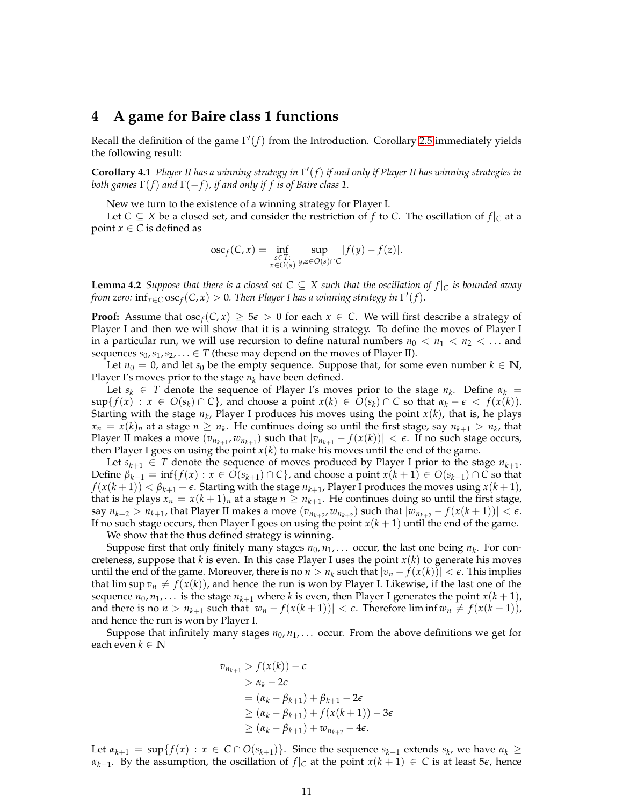# <span id="page-10-0"></span>**4 A game for Baire class 1 functions**

<span id="page-10-1"></span>Recall the definition of the game Γ ′ (*f*) from the Introduction. Corollary [2.5](#page-3-2) immediately yields the following result:

**Corollary 4.1** *Player II has a winning strategy in* Γ ′ (*f*) *if and only if Player II has winning strategies in both games* Γ(*f*) *and* Γ(−*f*)*, if and only if f is of Baire class 1.*

New we turn to the existence of a winning strategy for Player I.

Let  $C \subseteq X$  be a closed set, and consider the restriction of f to C. The oscillation of  $f|_C$  at a point  $x \in C$  is defined as

$$
oscf(C, x) = \inf_{\substack{s \in T:\\x \in O(s)}} \sup_{y,z \in O(s) \cap C} |f(y) - f(z)|.
$$

**Lemma 4.2** *Suppose that there is a closed set*  $C \subseteq X$  *such that the oscillation of*  $f|_C$  *is bounded away from zero:*  $\inf_{x \in C} \operatorname{osc}_f(C, x) > 0$ . Then Player I has a winning strategy in  $\Gamma'(f)$ .

**Proof:** Assume that  $\operatorname{osc}_f(C, x) \ge 5\varepsilon > 0$  for each  $x \in C$ . We will first describe a strategy of Player I and then we will show that it is a winning strategy. To define the moves of Player I in a particular run, we will use recursion to define natural numbers  $n_0 < n_1 < n_2 < ...$  and sequences  $s_0, s_1, s_2, \ldots \in T$  (these may depend on the moves of Player II).

Let  $n_0 = 0$ , and let  $s_0$  be the empty sequence. Suppose that, for some even number  $k \in \mathbb{N}$ , Player I's moves prior to the stage *n<sup>k</sup>* have been defined.

Let  $s_k \in T$  denote the sequence of Player I's moves prior to the stage  $n_k$ . Define  $\alpha_k =$  $\sup\{f(x) : x \in O(s_k) \cap C\}$ , and choose a point  $x(k) \in O(s_k) \cap C$  so that  $\alpha_k - \epsilon < f(x(k))$ . Starting with the stage  $n_k$ , Player I produces his moves using the point  $x(k)$ , that is, he plays  $x_n = x(k)_n$  at a stage  $n \ge n_k$ . He continues doing so until the first stage, say  $n_{k+1} > n_k$ , that Player II makes a move  $(v_{n_{k+1}}, w_{n_{k+1}})$  such that  $|v_{n_{k+1}} - f(x(k))| < \epsilon$ . If no such stage occurs, then Player I goes on using the point *x*(*k*) to make his moves until the end of the game.

Let  $s_{k+1} \in T$  denote the sequence of moves produced by Player I prior to the stage  $n_{k+1}$ . Define  $\beta_{k+1} = \inf\{f(x) : x \in O(s_{k+1}) \cap C\}$ , and choose a point  $x(k+1) \in O(s_{k+1}) \cap C$  so that  $f(x(k+1)) < \beta_{k+1} + \epsilon$ . Starting with the stage  $n_{k+1}$ , Player I produces the moves using  $x(k+1)$ , that is he plays  $x_n = x(k+1)_n$  at a stage  $n \geq n_{k+1}$ . He continues doing so until the first stage,  $\sum_{k=1}^{\infty} n_{k+1}$ , that Player II makes a move  $(v_{n_{k+2}}, w_{n_{k+2}})$  such that  $|w_{n_{k+2}} - f(x(k+1))| < \epsilon$ . If no such stage occurs, then Player I goes on using the point  $x(k + 1)$  until the end of the game.

We show that the thus defined strategy is winning.

Suppose first that only finitely many stages  $n_0, n_1, \ldots$  occur, the last one being  $n_k$ . For concreteness, suppose that *k* is even. In this case Player I uses the point *x*(*k*) to generate his moves until the end of the game. Moreover, there is no  $n > n_k$  such that  $|v_n - f(x(k))| < \epsilon$ . This implies that lim sup  $v_n \neq f(x(k))$ , and hence the run is won by Player I. Likewise, if the last one of the sequence  $n_0, n_1, \ldots$  is the stage  $n_{k+1}$  where  $k$  is even, then Player I generates the point  $x(k+1)$ , and there is no  $n > n_{k+1}$  such that  $|w_n - f(x(k+1))| < \epsilon$ . Therefore lim inf  $w_n \neq f(x(k+1))$ , and hence the run is won by Player I.

Suppose that infinitely many stages  $n_0, n_1, \ldots$  occur. From the above definitions we get for each even *k* ∈ **N**

$$
v_{n_{k+1}} > f(x(k)) - \epsilon
$$
  
\n
$$
> \alpha_k - 2\epsilon
$$
  
\n
$$
= (\alpha_k - \beta_{k+1}) + \beta_{k+1} - 2\epsilon
$$
  
\n
$$
\geq (\alpha_k - \beta_{k+1}) + f(x(k+1)) - 3\epsilon
$$
  
\n
$$
\geq (\alpha_k - \beta_{k+1}) + w_{n_{k+2}} - 4\epsilon.
$$

Let  $\alpha_{k+1} = \sup\{f(x) : x \in C \cap O(s_{k+1})\}$ . Since the sequence  $s_{k+1}$  extends  $s_k$ , we have  $\alpha_k \geq$ *α*<sub>*k*+1</sub>. By the assumption, the oscillation of  $f|_C$  at the point  $x(k + 1) \in C$  is at least 5 $\epsilon$ , hence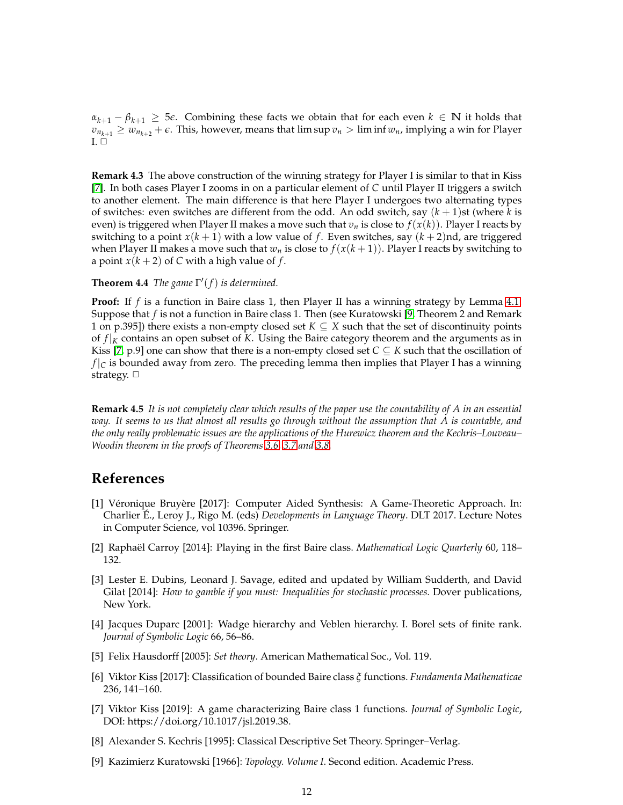$\alpha_{k+1} - \beta_{k+1} \geq 5\epsilon$ . Combining these facts we obtain that for each even  $k \in \mathbb{N}$  it holds that  $v_{n_{k+1}} \geq w_{n_{k+2}} + \epsilon$ . This, however, means that lim sup  $v_n > \liminf w_n$ , implying a win for Player  $I.  $\square$$ 

**Remark 4.3** The above construction of the winning strategy for Player I is similar to that in Kiss [7]. In both cases Player I zooms in on a particular element of *C* until Player II triggers a switch to another element. The main difference is that here Player I undergoes two alternating types of switches: even switches are different from the odd. An odd switch, say (*k* + 1)st (where *k* is even) is triggered when Player II makes a move such that  $v_n$  is close to  $f(x(k))$ . Player I reacts by switching to a point  $x(k + 1)$  with a low value of f. Even switches, say  $(k + 2)$ nd, are triggered when Player II makes a move such that  $w_n$  is close to  $f(x(k+1))$ . Player I reacts by switching to a point  $x(k+2)$  of C with a high value of  $f$ .

### **Theorem 4.4** *The game*  $\Gamma'(f)$  *is determined.*

**Proof:** If *f* is a function in Baire class 1, then Player II has a winning strategy by Lemma [4.1.](#page-10-1) Suppose that *f* is not a function in Baire class 1. Then (see Kuratowski [9, Theorem 2 and Remark 1 on p.395]) there exists a non-empty closed set  $K \subseteq X$  such that the set of discontinuity points of *f* |*<sup>K</sup>* contains an open subset of *K*. Using the Baire category theorem and the arguments as in Kiss [7, p.9] one can show that there is a non-empty closed set  $C \subseteq K$  such that the oscillation of  $f|_C$  is bounded away from zero. The preceding lemma then implies that Player I has a winning strategy.  $\Box$ 

**Remark 4.5** *It is not completely clear which results of the paper use the countability of A in an essential way. It seems to us that almost all results go through without the assumption that A is countable, and the only really problematic issues are the applications of the Hurewicz theorem and the Kechris–Louveau– Woodin theorem in the proofs of Theorems [3.6,](#page-6-0) [3.7](#page-7-2) and [3.8.](#page-7-3)*

### **References**

- [1] Véronique Bruyère [2017]: Computer Aided Synthesis: A Game-Theoretic Approach. In: Charlier É., Leroy J., Rigo M. (eds) *Developments in Language Theory*. DLT 2017. Lecture Notes in Computer Science, vol 10396. Springer.
- [2] Raphaël Carroy [2014]: Playing in the first Baire class. *Mathematical Logic Quarterly* 60, 118– 132.
- [3] Lester E. Dubins, Leonard J. Savage, edited and updated by William Sudderth, and David Gilat [2014]: *How to gamble if you must: Inequalities for stochastic processes.* Dover publications, New York.
- [4] Jacques Duparc [2001]: Wadge hierarchy and Veblen hierarchy. I. Borel sets of finite rank. *Journal of Symbolic Logic* 66, 56–86.
- [5] Felix Hausdorff [2005]: *Set theory*. American Mathematical Soc., Vol. 119.
- [6] Viktor Kiss [2017]: Classification of bounded Baire class *ξ* functions. *Fundamenta Mathematicae* 236, 141–160.
- [7] Viktor Kiss [2019]: A game characterizing Baire class 1 functions. *Journal of Symbolic Logic*, DOI: https://doi.org/10.1017/jsl.2019.38.
- [8] Alexander S. Kechris [1995]: Classical Descriptive Set Theory. Springer–Verlag.
- [9] Kazimierz Kuratowski [1966]: *Topology. Volume I*. Second edition. Academic Press.